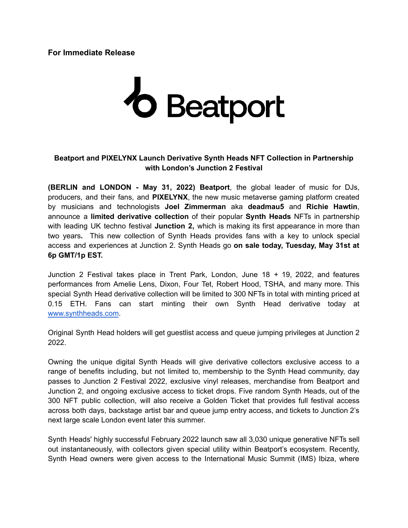# **For Immediate Release**

# *o* Beatport

# **Beatport and PIXELYNX Launch Derivative Synth Heads NFT Collection in Partnership with London's Junction 2 Festival**

**(BERLIN and LONDON - May 31, 2022) Beatport**, the global leader of music for DJs, producers, and their fans, and **PIXELYNX**, the new music metaverse gaming platform created by musicians and technologists **Joel Zimmerman** aka **deadmau5** and **Richie Hawtin**, announce a **limited derivative collection** of their popular **Synth Heads** NFTs in partnership with leading UK techno festival **Junction 2,** which is making its first appearance in more than two years**.** This new collection of Synth Heads provides fans with a key to unlock special access and experiences at Junction 2. Synth Heads go **on sale today, Tuesday, May 31st at 6p GMT/1p EST.**

Junction 2 Festival takes place in Trent Park, London, June 18 + 19, 2022, and features performances from Amelie Lens, Dixon, Four Tet, Robert Hood, TSHA, and many more. This special Synth Head derivative collection will be limited to 300 NFTs in total with minting priced at 0.15 ETH. Fans can start minting their own Synth Head derivative today at [www.synthheads.com](http://www.synthheads.com).

Original Synth Head holders will get guestlist access and queue jumping privileges at Junction 2 2022.

Owning the unique digital Synth Heads will give derivative collectors exclusive access to a range of benefits including, but not limited to, membership to the Synth Head community, day passes to Junction 2 Festival 2022, exclusive vinyl releases, merchandise from Beatport and Junction 2, and ongoing exclusive access to ticket drops. Five random Synth Heads, out of the 300 NFT public collection, will also receive a Golden Ticket that provides full festival access across both days, backstage artist bar and queue jump entry access, and tickets to Junction 2's next large scale London event later this summer.

Synth Heads' highly successful February 2022 launch saw all 3,030 unique generative NFTs sell out instantaneously, with collectors given special utility within Beatport's ecosystem. Recently, Synth Head owners were given access to the International Music Summit (IMS) Ibiza, where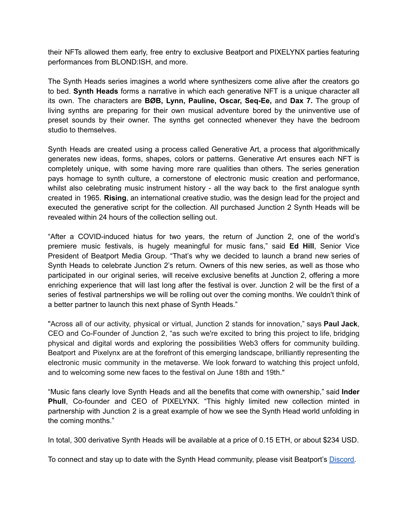their NFTs allowed them early, free entry to exclusive Beatport and PIXELYNX parties featuring performances from BLOND:ISH, and more.

The Synth Heads series imagines a world where synthesizers come alive after the creators go to bed. **Synth Heads** forms a narrative in which each generative NFT is a unique character all its own. The characters are **BØB, Lynn, Pauline, Oscar, Seq-Ee,** and **Dax 7.** The group of living synths are preparing for their own musical adventure bored by the uninventive use of preset sounds by their owner. The synths get connected whenever they have the bedroom studio to themselves.

Synth Heads are created using a process called Generative Art, a process that algorithmically generates new ideas, forms, shapes, colors or patterns. Generative Art ensures each NFT is completely unique, with some having more rare qualities than others. The series generation pays homage to synth culture, a cornerstone of electronic music creation and performance, whilst also celebrating music instrument history - all the way back to the first analogue synth created in 1965. **Rising**, an international creative studio, was the design lead for the project and executed the generative script for the collection. All purchased Junction 2 Synth Heads will be revealed within 24 hours of the collection selling out.

"After a COVID-induced hiatus for two years, the return of Junction 2, one of the world's premiere music festivals, is hugely meaningful for music fans," said **Ed Hill**, Senior Vice President of Beatport Media Group. "That's why we decided to launch a brand new series of Synth Heads to celebrate Junction 2's return. Owners of this new series, as well as those who participated in our original series, will receive exclusive benefits at Junction 2, offering a more enriching experience that will last long after the festival is over. Junction 2 will be the first of a series of festival partnerships we will be rolling out over the coming months. We couldn't think of a better partner to launch this next phase of Synth Heads."

"Across all of our activity, physical or virtual, Junction 2 stands for innovation," says **Paul Jack**, CEO and Co-Founder of Junction 2, "as such we're excited to bring this project to life, bridging physical and digital words and exploring the possibilities Web3 offers for community building. Beatport and Pixelynx are at the forefront of this emerging landscape, brilliantly representing the electronic music community in the metaverse. We look forward to watching this project unfold, and to welcoming some new faces to the festival on June 18th and 19th."

"Music fans clearly love Synth Heads and all the benefits that come with ownership," said **Inder Phull**, Co-founder and CEO of PIXELYNX. "This highly limited new collection minted in partnership with Junction 2 is a great example of how we see the Synth Head world unfolding in the coming months."

In total, 300 derivative Synth Heads will be available at a price of 0.15 ETH, or about \$234 USD.

To connect and stay up to date with the Synth Head community, please visit Beatport's [Discord.](https://bit.ly/synthheadPR)